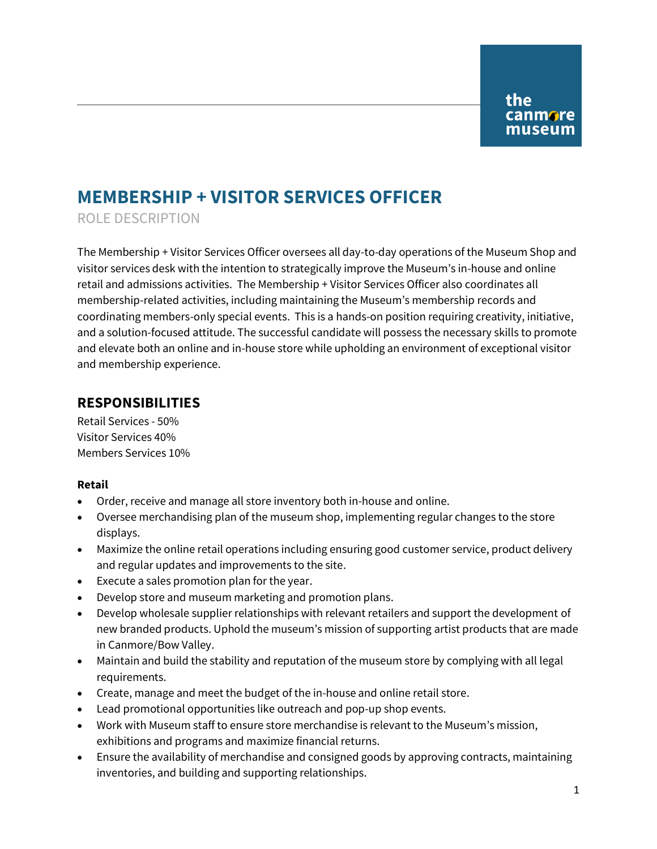# **MEMBERSHIP + VISITOR SERVICES OFFICER**

ROLE DESCRIPTION

The Membership + Visitor Services Officer oversees all day-to-day operations of the Museum Shop and visitor services desk with the intention to strategically improve the Museum's in-house and online retail and admissions activities. The Membership + Visitor Services Officer also coordinates all membership-related activities, including maintaining the Museum's membership records and coordinating members-only special events. This is a hands-on position requiring creativity, initiative, and a solution-focused attitude. The successful candidate will possess the necessary skills to promote and elevate both an online and in-house store while upholding an environment of exceptional visitor and membership experience.

### **RESPONSIBILITIES**

Retail Services - 50% Visitor Services 40% Members Services 10%

#### **Retail**

- Order, receive and manage all store inventory both in-house and online.
- Oversee merchandising plan of the museum shop, implementing regular changes to the store displays.
- Maximize the online retail operations including ensuring good customer service, product delivery and regular updates and improvements to the site.
- Execute a sales promotion plan for the year.
- Develop store and museum marketing and promotion plans.
- Develop wholesale supplier relationships with relevant retailers and support the development of new branded products. Uphold the museum's mission of supporting artist products that are made in Canmore/Bow Valley.
- Maintain and build the stability and reputation of the museum store by complying with all legal requirements.
- Create, manage and meet the budget of the in-house and online retail store.
- Lead promotional opportunities like outreach and pop-up shop events.
- Work with Museum staff to ensure store merchandise is relevant to the Museum's mission, exhibitions and programs and maximize financial returns.
- Ensure the availability of merchandise and consigned goods by approving contracts, maintaining inventories, and building and supporting relationships.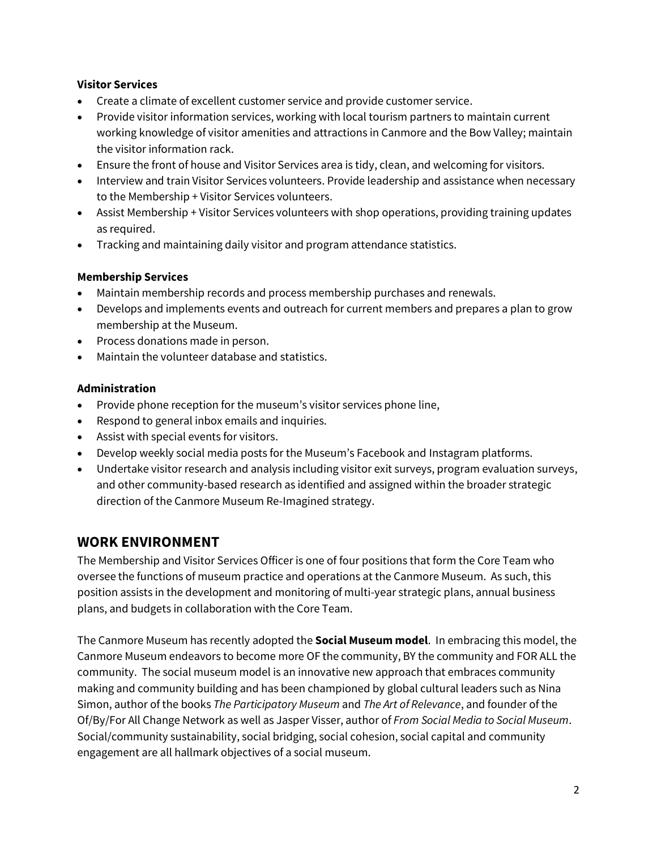#### **Visitor Services**

- Create a climate of excellent customer service and provide customer service.
- Provide visitor information services, working with local tourism partners to maintain current working knowledge of visitor amenities and attractions in Canmore and the Bow Valley; maintain the visitor information rack.
- Ensure the front of house and Visitor Services area is tidy, clean, and welcoming for visitors.
- Interview and train Visitor Services volunteers. Provide leadership and assistance when necessary to the Membership + Visitor Services volunteers.
- Assist Membership + Visitor Services volunteers with shop operations, providing training updates as required.
- Tracking and maintaining daily visitor and program attendance statistics.

#### **Membership Services**

- Maintain membership records and process membership purchases and renewals.
- Develops and implements events and outreach for current members and prepares a plan to grow membership at the Museum.
- Process donations made in person.
- Maintain the volunteer database and statistics.

#### **Administration**

- Provide phone reception for the museum's visitor services phone line,
- Respond to general inbox emails and inquiries.
- Assist with special events for visitors.
- Develop weekly social media posts for the Museum's Facebook and Instagram platforms.
- Undertake visitor research and analysis including visitor exit surveys, program evaluation surveys, and other community-based research as identified and assigned within the broader strategic direction of the Canmore Museum Re-Imagined strategy.

# **WORK ENVIRONMENT**

The Membership and Visitor Services Officer is one of four positions that form the Core Team who oversee the functions of museum practice and operations at the Canmore Museum. As such, this position assists in the development and monitoring of multi-year strategic plans, annual business plans, and budgets in collaboration with the Core Team.

The Canmore Museum has recently adopted the **Social Museum model**. In embracing this model, the Canmore Museum endeavors to become more OF the community, BY the community and FOR ALL the community. The social museum model is an innovative new approach that embraces community making and community building and has been championed by global cultural leaders such as Nina Simon, author of the books *The Participatory Museum* and *The Art of Relevance*, and founder of the Of/By/For All Change Network as well as Jasper Visser, author of *From Social Media to Social Museum*. Social/community sustainability, social bridging, social cohesion, social capital and community engagement are all hallmark objectives of a social museum.